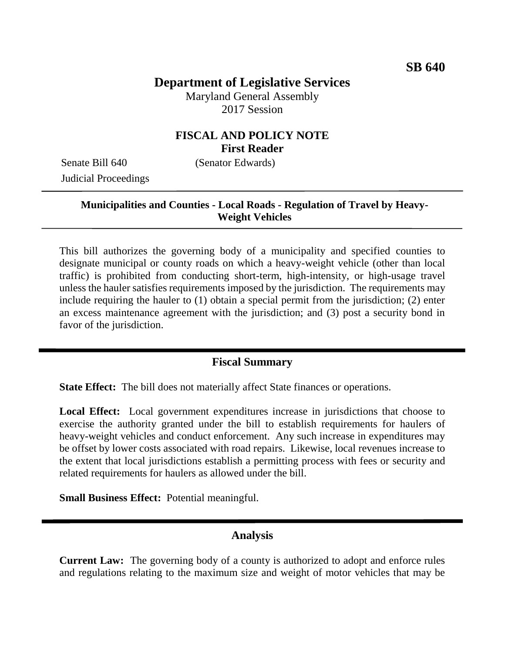# **Department of Legislative Services**

Maryland General Assembly 2017 Session

## **FISCAL AND POLICY NOTE First Reader**

Senate Bill 640 (Senator Edwards) Judicial Proceedings

#### **Municipalities and Counties - Local Roads - Regulation of Travel by Heavy-Weight Vehicles**

This bill authorizes the governing body of a municipality and specified counties to designate municipal or county roads on which a heavy-weight vehicle (other than local traffic) is prohibited from conducting short-term, high-intensity, or high-usage travel unless the hauler satisfies requirements imposed by the jurisdiction. The requirements may include requiring the hauler to (1) obtain a special permit from the jurisdiction; (2) enter an excess maintenance agreement with the jurisdiction; and (3) post a security bond in favor of the jurisdiction.

#### **Fiscal Summary**

**State Effect:** The bill does not materially affect State finances or operations.

Local Effect: Local government expenditures increase in jurisdictions that choose to exercise the authority granted under the bill to establish requirements for haulers of heavy-weight vehicles and conduct enforcement. Any such increase in expenditures may be offset by lower costs associated with road repairs. Likewise, local revenues increase to the extent that local jurisdictions establish a permitting process with fees or security and related requirements for haulers as allowed under the bill.

**Small Business Effect:** Potential meaningful.

#### **Analysis**

**Current Law:** The governing body of a county is authorized to adopt and enforce rules and regulations relating to the maximum size and weight of motor vehicles that may be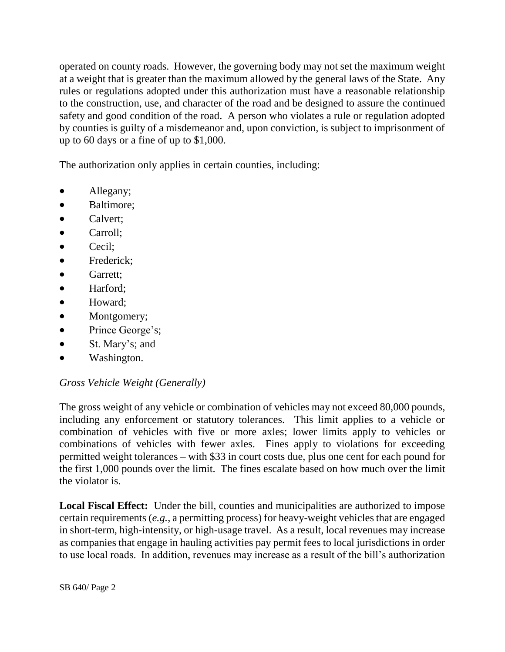operated on county roads. However, the governing body may not set the maximum weight at a weight that is greater than the maximum allowed by the general laws of the State. Any rules or regulations adopted under this authorization must have a reasonable relationship to the construction, use, and character of the road and be designed to assure the continued safety and good condition of the road. A person who violates a rule or regulation adopted by counties is guilty of a misdemeanor and, upon conviction, is subject to imprisonment of up to 60 days or a fine of up to \$1,000.

The authorization only applies in certain counties, including:

- Allegany;
- Baltimore;
- Calvert:
- Carroll:
- Cecil;
- Frederick;
- Garrett:
- Harford;
- Howard:
- Montgomery;
- Prince George's;
- St. Mary's; and
- Washington.

## *Gross Vehicle Weight (Generally)*

The gross weight of any vehicle or combination of vehicles may not exceed 80,000 pounds, including any enforcement or statutory tolerances. This limit applies to a vehicle or combination of vehicles with five or more axles; lower limits apply to vehicles or combinations of vehicles with fewer axles. Fines apply to violations for exceeding permitted weight tolerances – with \$33 in court costs due, plus one cent for each pound for the first 1,000 pounds over the limit. The fines escalate based on how much over the limit the violator is.

**Local Fiscal Effect:** Under the bill, counties and municipalities are authorized to impose certain requirements (*e.g.*, a permitting process) for heavy-weight vehicles that are engaged in short-term, high-intensity, or high-usage travel. As a result, local revenues may increase as companies that engage in hauling activities pay permit fees to local jurisdictions in order to use local roads. In addition, revenues may increase as a result of the bill's authorization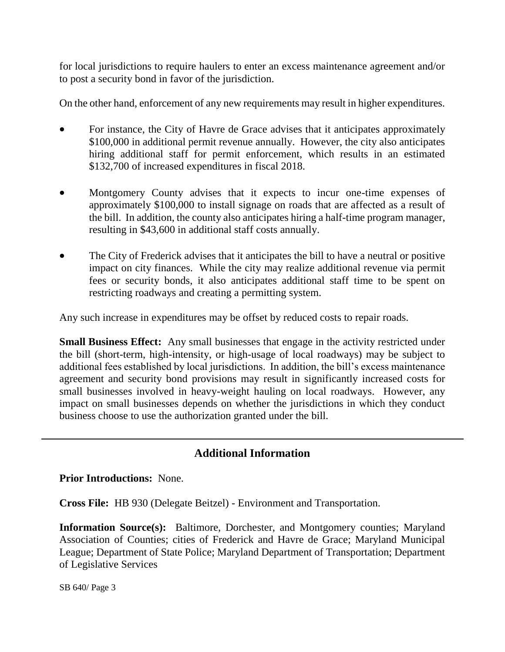for local jurisdictions to require haulers to enter an excess maintenance agreement and/or to post a security bond in favor of the jurisdiction.

On the other hand, enforcement of any new requirements may result in higher expenditures.

- For instance, the City of Havre de Grace advises that it anticipates approximately \$100,000 in additional permit revenue annually. However, the city also anticipates hiring additional staff for permit enforcement, which results in an estimated \$132,700 of increased expenditures in fiscal 2018.
- Montgomery County advises that it expects to incur one-time expenses of approximately \$100,000 to install signage on roads that are affected as a result of the bill. In addition, the county also anticipates hiring a half-time program manager, resulting in \$43,600 in additional staff costs annually.
- The City of Frederick advises that it anticipates the bill to have a neutral or positive impact on city finances. While the city may realize additional revenue via permit fees or security bonds, it also anticipates additional staff time to be spent on restricting roadways and creating a permitting system.

Any such increase in expenditures may be offset by reduced costs to repair roads.

**Small Business Effect:** Any small businesses that engage in the activity restricted under the bill (short-term, high-intensity, or high-usage of local roadways) may be subject to additional fees established by local jurisdictions. In addition, the bill's excess maintenance agreement and security bond provisions may result in significantly increased costs for small businesses involved in heavy-weight hauling on local roadways. However, any impact on small businesses depends on whether the jurisdictions in which they conduct business choose to use the authorization granted under the bill.

## **Additional Information**

**Prior Introductions:** None.

**Cross File:** HB 930 (Delegate Beitzel) - Environment and Transportation.

**Information Source(s):** Baltimore, Dorchester, and Montgomery counties; Maryland Association of Counties; cities of Frederick and Havre de Grace; Maryland Municipal League; Department of State Police; Maryland Department of Transportation; Department of Legislative Services

SB 640/ Page 3